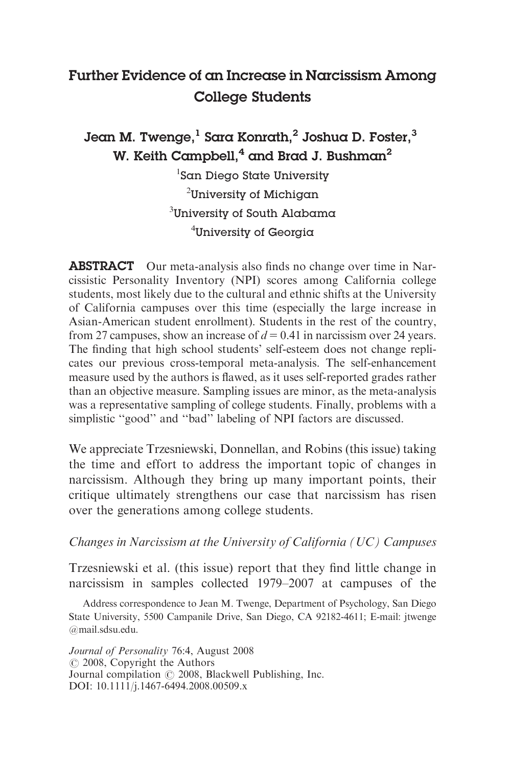# Further Evidence of an Increase in Narcissism Among College Students

# Jean M. Twenge, $^1$  Sara Konrath, $^2$  Joshua D. Foster, $^3$ W. Keith Campbell,<sup>4</sup> and Brad J. Bushman<sup>2</sup>

 $^{\rm l}$ San Diego State University  $^2$ University of Michigan  $^3$ University of South Alabama  $^4$ University of Georgia

**ABSTRACT** Our meta-analysis also finds no change over time in Narcissistic Personality Inventory (NPI) scores among California college students, most likely due to the cultural and ethnic shifts at the University of California campuses over this time (especially the large increase in Asian-American student enrollment). Students in the rest of the country, from 27 campuses, show an increase of  $d = 0.41$  in narcissism over 24 years. The finding that high school students' self-esteem does not change replicates our previous cross-temporal meta-analysis. The self-enhancement measure used by the authors is flawed, as it uses self-reported grades rather than an objective measure. Sampling issues are minor, as the meta-analysis was a representative sampling of college students. Finally, problems with a simplistic ''good'' and ''bad'' labeling of NPI factors are discussed.

We appreciate Trzesniewski, Donnellan, and Robins (this issue) taking the time and effort to address the important topic of changes in narcissism. Although they bring up many important points, their critique ultimately strengthens our case that narcissism has risen over the generations among college students.

### Changes in Narcissism at the University of California (UC) Campuses

Trzesniewski et al. (this issue) report that they find little change in narcissism in samples collected 1979–2007 at campuses of the

Address correspondence to Jean M. Twenge, Department of Psychology, San Diego State University, 5500 Campanile Drive, San Diego, CA 92182-4611; E-mail: jtwenge @mail.sdsu.edu.

Journal of Personality 76:4, August 2008  $\odot$  2008, Copyright the Authors Journal compilation  $\odot$  2008, Blackwell Publishing, Inc. DOI: 10.1111/j.1467-6494.2008.00509.x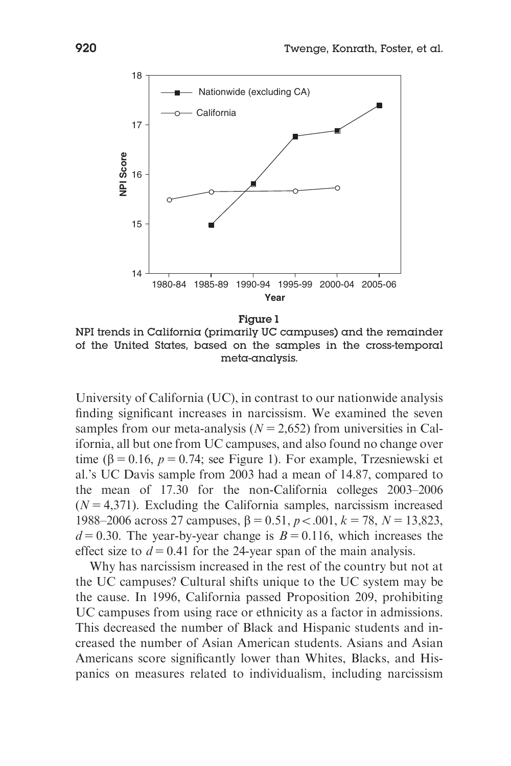

NPI trends in California (primarily UC campuses) and the remainder of the United States, based on the samples in the cross-temporal meta-analysis.

University of California (UC), in contrast to our nationwide analysis finding significant increases in narcissism. We examined the seven samples from our meta-analysis  $(N = 2,652)$  from universities in California, all but one from UC campuses, and also found no change over time ( $\beta$  = 0.16, p = 0.74; see Figure 1). For example, Trzesniewski et al.'s UC Davis sample from 2003 had a mean of 14.87, compared to the mean of 17.30 for the non-California colleges 2003–2006  $(N = 4,371)$ . Excluding the California samples, narcissism increased 1988–2006 across 27 campuses,  $\beta = 0.51$ ,  $p < .001$ ,  $k = 78$ ,  $N = 13,823$ ,  $d = 0.30$ . The year-by-year change is  $B = 0.116$ , which increases the effect size to  $d = 0.41$  for the 24-year span of the main analysis.

Why has narcissism increased in the rest of the country but not at the UC campuses? Cultural shifts unique to the UC system may be the cause. In 1996, California passed Proposition 209, prohibiting UC campuses from using race or ethnicity as a factor in admissions. This decreased the number of Black and Hispanic students and increased the number of Asian American students. Asians and Asian Americans score significantly lower than Whites, Blacks, and Hispanics on measures related to individualism, including narcissism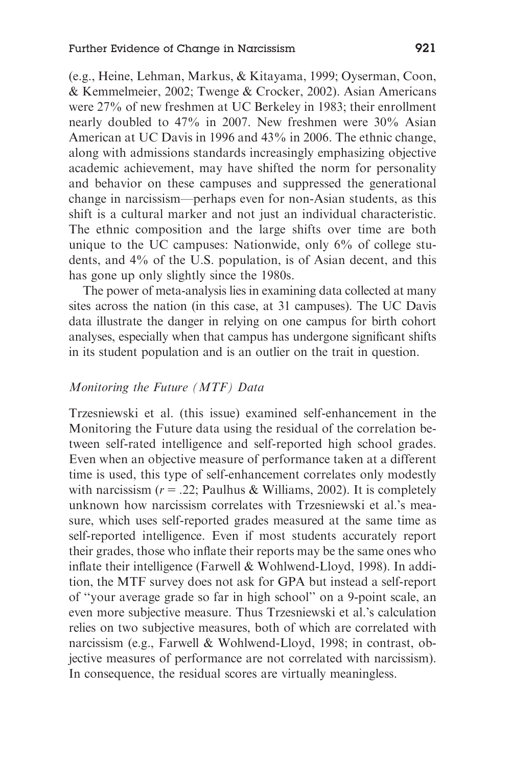(e.g., Heine, Lehman, Markus, & Kitayama, 1999; Oyserman, Coon, & Kemmelmeier, 2002; Twenge & Crocker, 2002). Asian Americans were 27% of new freshmen at UC Berkeley in 1983; their enrollment nearly doubled to 47% in 2007. New freshmen were 30% Asian American at UC Davis in 1996 and 43% in 2006. The ethnic change, along with admissions standards increasingly emphasizing objective academic achievement, may have shifted the norm for personality and behavior on these campuses and suppressed the generational change in narcissism—perhaps even for non-Asian students, as this shift is a cultural marker and not just an individual characteristic. The ethnic composition and the large shifts over time are both unique to the UC campuses: Nationwide, only 6% of college students, and 4% of the U.S. population, is of Asian decent, and this has gone up only slightly since the 1980s.

The power of meta-analysis lies in examining data collected at many sites across the nation (in this case, at 31 campuses). The UC Davis data illustrate the danger in relying on one campus for birth cohort analyses, especially when that campus has undergone significant shifts in its student population and is an outlier on the trait in question.

## Monitoring the Future (MTF) Data

Trzesniewski et al. (this issue) examined self-enhancement in the Monitoring the Future data using the residual of the correlation between self-rated intelligence and self-reported high school grades. Even when an objective measure of performance taken at a different time is used, this type of self-enhancement correlates only modestly with narcissism  $(r = .22;$  Paulhus & Williams, 2002). It is completely unknown how narcissism correlates with Trzesniewski et al.'s measure, which uses self-reported grades measured at the same time as self-reported intelligence. Even if most students accurately report their grades, those who inflate their reports may be the same ones who inflate their intelligence (Farwell & Wohlwend-Lloyd, 1998). In addition, the MTF survey does not ask for GPA but instead a self-report of ''your average grade so far in high school'' on a 9-point scale, an even more subjective measure. Thus Trzesniewski et al.'s calculation relies on two subjective measures, both of which are correlated with narcissism (e.g., Farwell & Wohlwend-Lloyd, 1998; in contrast, objective measures of performance are not correlated with narcissism). In consequence, the residual scores are virtually meaningless.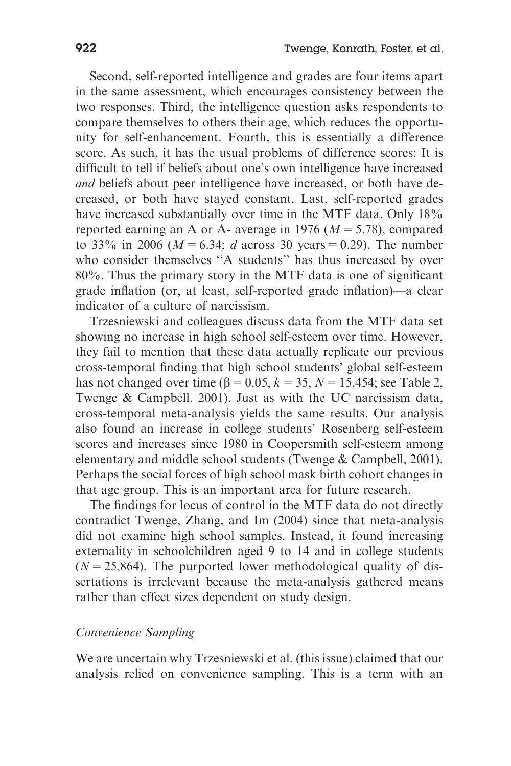Second, self-reported intelligence and grades are four items apart in the same assessment, which encourages consistency between the two responses. Third, the intelligence question asks respondents to compare themselves to others their age, which reduces the opportunity for self-enhancement. Fourth, this is essentially a difference score. As such, it has the usual problems of difference scores: It is difficult to tell if beliefs about one's own intelligence have increased and beliefs about peer intelligence have increased, or both have decreased, or both have stayed constant. Last, self-reported grades have increased substantially over time in the MTF data. Only 18% reported earning an A or A- average in 1976 ( $M = 5.78$ ), compared to 33% in 2006 ( $M = 6.34$ ; d across 30 years = 0.29). The number who consider themselves ''A students'' has thus increased by over 80%. Thus the primary story in the MTF data is one of significant grade inflation (or, at least, self-reported grade inflation)—a clear indicator of a culture of narcissism.

Trzesniewski and colleagues discuss data from the MTF data set showing no increase in high school self-esteem over time. However, they fail to mention that these data actually replicate our previous cross-temporal finding that high school students' global self-esteem has not changed over time ( $\beta = 0.05$ ,  $k = 35$ ,  $N = 15,454$ ; see Table 2, Twenge & Campbell, 2001). Just as with the UC narcissism data, cross-temporal meta-analysis yields the same results. Our analysis also found an increase in college students' Rosenberg self-esteem scores and increases since 1980 in Coopersmith self-esteem among elementary and middle school students (Twenge & Campbell, 2001). Perhaps the social forces of high school mask birth cohort changes in that age group. This is an important area for future research.

The findings for locus of control in the MTF data do not directly contradict Twenge, Zhang, and Im (2004) since that meta-analysis did not examine high school samples. Instead, it found increasing externality in schoolchildren aged 9 to 14 and in college students  $(N = 25,864)$ . The purported lower methodological quality of dissertations is irrelevant because the meta-analysis gathered means rather than effect sizes dependent on study design.

#### Convenience Sampling

We are uncertain why Trzesniewski et al. (this issue) claimed that our analysis relied on convenience sampling. This is a term with an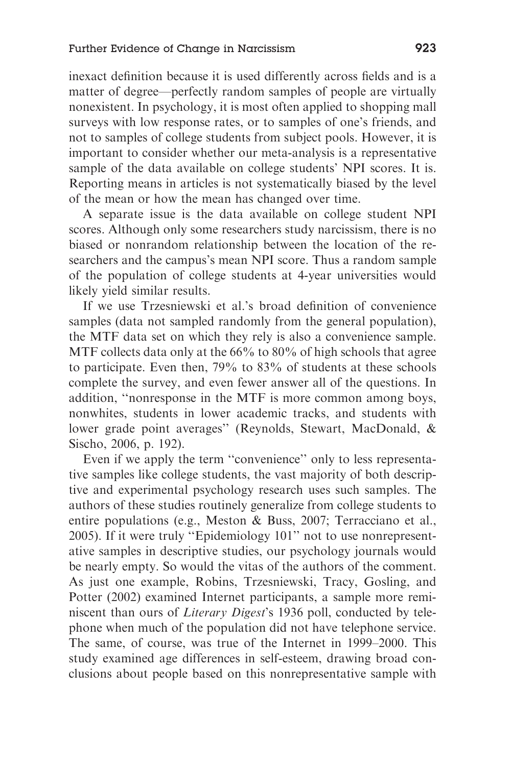inexact definition because it is used differently across fields and is a matter of degree—perfectly random samples of people are virtually nonexistent. In psychology, it is most often applied to shopping mall surveys with low response rates, or to samples of one's friends, and not to samples of college students from subject pools. However, it is important to consider whether our meta-analysis is a representative sample of the data available on college students' NPI scores. It is. Reporting means in articles is not systematically biased by the level of the mean or how the mean has changed over time.

A separate issue is the data available on college student NPI scores. Although only some researchers study narcissism, there is no biased or nonrandom relationship between the location of the researchers and the campus's mean NPI score. Thus a random sample of the population of college students at 4-year universities would likely yield similar results.

If we use Trzesniewski et al.'s broad definition of convenience samples (data not sampled randomly from the general population), the MTF data set on which they rely is also a convenience sample. MTF collects data only at the 66% to 80% of high schools that agree to participate. Even then, 79% to 83% of students at these schools complete the survey, and even fewer answer all of the questions. In addition, ''nonresponse in the MTF is more common among boys, nonwhites, students in lower academic tracks, and students with lower grade point averages'' (Reynolds, Stewart, MacDonald, & Sischo, 2006, p. 192).

Even if we apply the term ''convenience'' only to less representative samples like college students, the vast majority of both descriptive and experimental psychology research uses such samples. The authors of these studies routinely generalize from college students to entire populations (e.g., Meston & Buss, 2007; Terracciano et al., 2005). If it were truly ''Epidemiology 101'' not to use nonrepresentative samples in descriptive studies, our psychology journals would be nearly empty. So would the vitas of the authors of the comment. As just one example, Robins, Trzesniewski, Tracy, Gosling, and Potter (2002) examined Internet participants, a sample more reminiscent than ours of Literary Digest's 1936 poll, conducted by telephone when much of the population did not have telephone service. The same, of course, was true of the Internet in 1999–2000. This study examined age differences in self-esteem, drawing broad conclusions about people based on this nonrepresentative sample with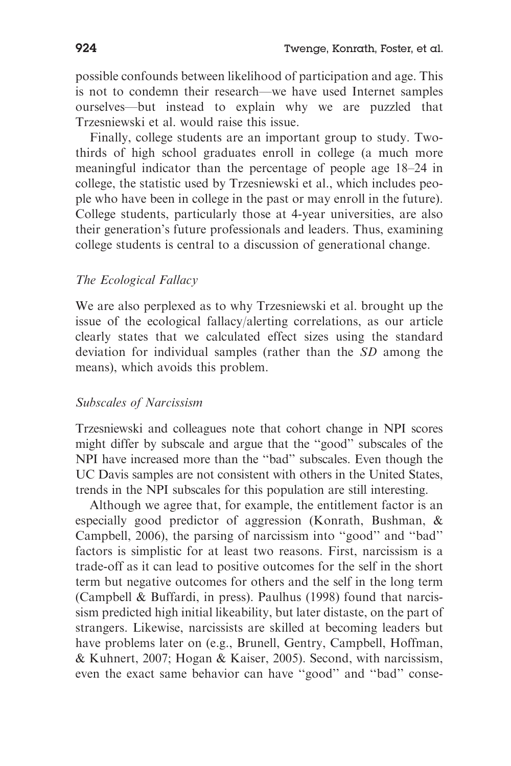possible confounds between likelihood of participation and age. This is not to condemn their research—we have used Internet samples ourselves—but instead to explain why we are puzzled that Trzesniewski et al. would raise this issue.

Finally, college students are an important group to study. Twothirds of high school graduates enroll in college (a much more meaningful indicator than the percentage of people age 18–24 in college, the statistic used by Trzesniewski et al., which includes people who have been in college in the past or may enroll in the future). College students, particularly those at 4-year universities, are also their generation's future professionals and leaders. Thus, examining college students is central to a discussion of generational change.

### The Ecological Fallacy

We are also perplexed as to why Trzesniewski et al. brought up the issue of the ecological fallacy/alerting correlations, as our article clearly states that we calculated effect sizes using the standard deviation for individual samples (rather than the SD among the means), which avoids this problem.

#### Subscales of Narcissism

Trzesniewski and colleagues note that cohort change in NPI scores might differ by subscale and argue that the ''good'' subscales of the NPI have increased more than the ''bad'' subscales. Even though the UC Davis samples are not consistent with others in the United States, trends in the NPI subscales for this population are still interesting.

Although we agree that, for example, the entitlement factor is an especially good predictor of aggression (Konrath, Bushman, & Campbell, 2006), the parsing of narcissism into ''good'' and ''bad'' factors is simplistic for at least two reasons. First, narcissism is a trade-off as it can lead to positive outcomes for the self in the short term but negative outcomes for others and the self in the long term (Campbell & Buffardi, in press). Paulhus (1998) found that narcissism predicted high initial likeability, but later distaste, on the part of strangers. Likewise, narcissists are skilled at becoming leaders but have problems later on (e.g., Brunell, Gentry, Campbell, Hoffman, & Kuhnert, 2007; Hogan & Kaiser, 2005). Second, with narcissism, even the exact same behavior can have ''good'' and ''bad'' conse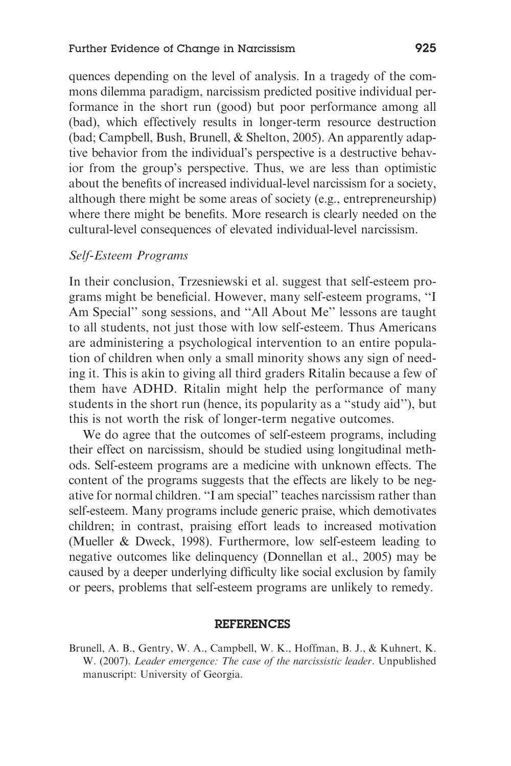quences depending on the level of analysis. In a tragedy of the commons dilemma paradigm, narcissism predicted positive individual performance in the short run (good) but poor performance among all (bad), which effectively results in longer-term resource destruction (bad; Campbell, Bush, Brunell, & Shelton, 2005). An apparently adaptive behavior from the individual's perspective is a destructive behavior from the group's perspective. Thus, we are less than optimistic about the benefits of increased individual-level narcissism for a society, although there might be some areas of society (e.g., entrepreneurship) where there might be benefits. More research is clearly needed on the cultural-level consequences of elevated individual-level narcissism.

#### Self-Esteem Programs

In their conclusion, Trzesniewski et al. suggest that self-esteem programs might be beneficial. However, many self-esteem programs, ''I Am Special'' song sessions, and ''All About Me'' lessons are taught to all students, not just those with low self-esteem. Thus Americans are administering a psychological intervention to an entire population of children when only a small minority shows any sign of needing it. This is akin to giving all third graders Ritalin because a few of them have ADHD. Ritalin might help the performance of many students in the short run (hence, its popularity as a ''study aid''), but this is not worth the risk of longer-term negative outcomes.

We do agree that the outcomes of self-esteem programs, including their effect on narcissism, should be studied using longitudinal methods. Self-esteem programs are a medicine with unknown effects. The content of the programs suggests that the effects are likely to be negative for normal children. ''I am special'' teaches narcissism rather than self-esteem. Many programs include generic praise, which demotivates children; in contrast, praising effort leads to increased motivation (Mueller & Dweck, 1998). Furthermore, low self-esteem leading to negative outcomes like delinquency (Donnellan et al., 2005) may be caused by a deeper underlying difficulty like social exclusion by family or peers, problems that self-esteem programs are unlikely to remedy.

#### REFERENCES

Brunell, A. B., Gentry, W. A., Campbell, W. K., Hoffman, B. J., & Kuhnert, K. W. (2007). Leader emergence: The case of the narcissistic leader. Unpublished manuscript: University of Georgia.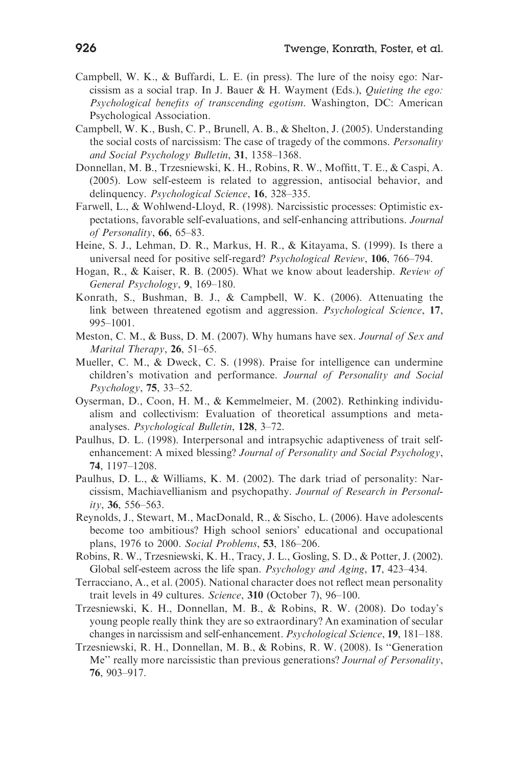- Campbell, W. K., & Buffardi, L. E. (in press). The lure of the noisy ego: Narcissism as a social trap. In J. Bauer & H. Wayment (Eds.), Quieting the ego: Psychological benefits of transcending egotism. Washington, DC: American Psychological Association.
- Campbell, W. K., Bush, C. P., Brunell, A. B., & Shelton, J. (2005). Understanding the social costs of narcissism: The case of tragedy of the commons. Personality and Social Psychology Bulletin, 31, 1358–1368.
- Donnellan, M. B., Trzesniewski, K. H., Robins, R. W., Moffitt, T. E., & Caspi, A. (2005). Low self-esteem is related to aggression, antisocial behavior, and delinquency. Psychological Science, 16, 328–335.
- Farwell, L., & Wohlwend-Lloyd, R. (1998). Narcissistic processes: Optimistic expectations, favorable self-evaluations, and self-enhancing attributions. Journal of Personality, 66, 65–83.
- Heine, S. J., Lehman, D. R., Markus, H. R., & Kitayama, S. (1999). Is there a universal need for positive self-regard? Psychological Review, 106, 766–794.
- Hogan, R., & Kaiser, R. B. (2005). What we know about leadership. Review of General Psychology, 9, 169–180.
- Konrath, S., Bushman, B. J., & Campbell, W. K. (2006). Attenuating the link between threatened egotism and aggression. Psychological Science, 17, 995–1001.
- Meston, C. M., & Buss, D. M. (2007). Why humans have sex. Journal of Sex and Marital Therapy, 26, 51–65.
- Mueller, C. M., & Dweck, C. S. (1998). Praise for intelligence can undermine children's motivation and performance. Journal of Personality and Social Psychology, 75, 33–52.
- Oyserman, D., Coon, H. M., & Kemmelmeier, M. (2002). Rethinking individualism and collectivism: Evaluation of theoretical assumptions and metaanalyses. Psychological Bulletin, 128, 3–72.
- Paulhus, D. L. (1998). Interpersonal and intrapsychic adaptiveness of trait selfenhancement: A mixed blessing? Journal of Personality and Social Psychology, 74, 1197–1208.
- Paulhus, D. L., & Williams, K. M. (2002). The dark triad of personality: Narcissism, Machiavellianism and psychopathy. Journal of Research in Personal $itv$ , 36, 556–563.
- Reynolds, J., Stewart, M., MacDonald, R., & Sischo, L. (2006). Have adolescents become too ambitious? High school seniors' educational and occupational plans, 1976 to 2000. Social Problems, 53, 186–206.
- Robins, R. W., Trzesniewski, K. H., Tracy, J. L., Gosling, S. D., & Potter, J. (2002). Global self-esteem across the life span. Psychology and Aging, 17, 423–434.
- Terracciano, A., et al. (2005). National character does not reflect mean personality trait levels in 49 cultures. Science, 310 (October 7), 96–100.
- Trzesniewski, K. H., Donnellan, M. B., & Robins, R. W. (2008). Do today's young people really think they are so extraordinary? An examination of secular changes in narcissism and self-enhancement. Psychological Science, 19, 181–188.
- Trzesniewski, R. H., Donnellan, M. B., & Robins, R. W. (2008). Is ''Generation Me" really more narcissistic than previous generations? Journal of Personality, 76, 903–917.